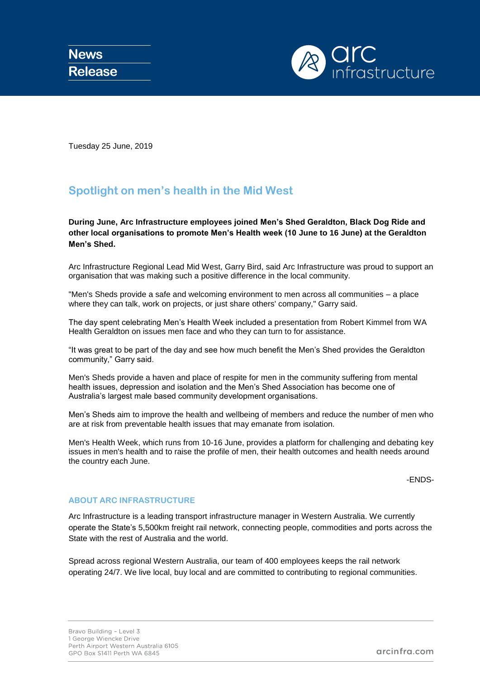

Tuesday 25 June, 2019

## **Spotlight on men's health in the Mid West**

**During June, Arc Infrastructure employees joined Men's Shed Geraldton, Black Dog Ride and other local organisations to promote Men's Health week (10 June to 16 June) at the Geraldton Men's Shed.** 

Arc Infrastructure Regional Lead Mid West, Garry Bird, said Arc Infrastructure was proud to support an organisation that was making such a positive difference in the local community.

"Men's Sheds provide a safe and welcoming environment to men across all communities – a place where they can talk, work on projects, or just share others' company," Garry said.

The day spent celebrating Men's Health Week included a presentation from Robert Kimmel from WA Health Geraldton on issues men face and who they can turn to for assistance.

"It was great to be part of the day and see how much benefit the Men's Shed provides the Geraldton community," Garry said.

Men's Sheds provide a haven and place of respite for men in the community suffering from mental health issues, depression and isolation and the Men's Shed Association has become one of Australia's largest male based community development organisations.

Men's Sheds aim to improve the health and wellbeing of members and reduce the number of men who are at risk from preventable health issues that may emanate from isolation.

Men's Health Week, which runs from 10-16 June, provides a platform for challenging and debating key issues in men's health and to raise the profile of men, their health outcomes and health needs around the country each June.

-ENDS-

## **ABOUT ARC INFRASTRUCTURE**

Arc Infrastructure is a leading transport infrastructure manager in Western Australia. We currently operate the State's 5,500km freight rail network, connecting people, commodities and ports across the State with the rest of Australia and the world.

Spread across regional Western Australia, our team of 400 employees keeps the rail network operating 24/7. We live local, buy local and are committed to contributing to regional communities.